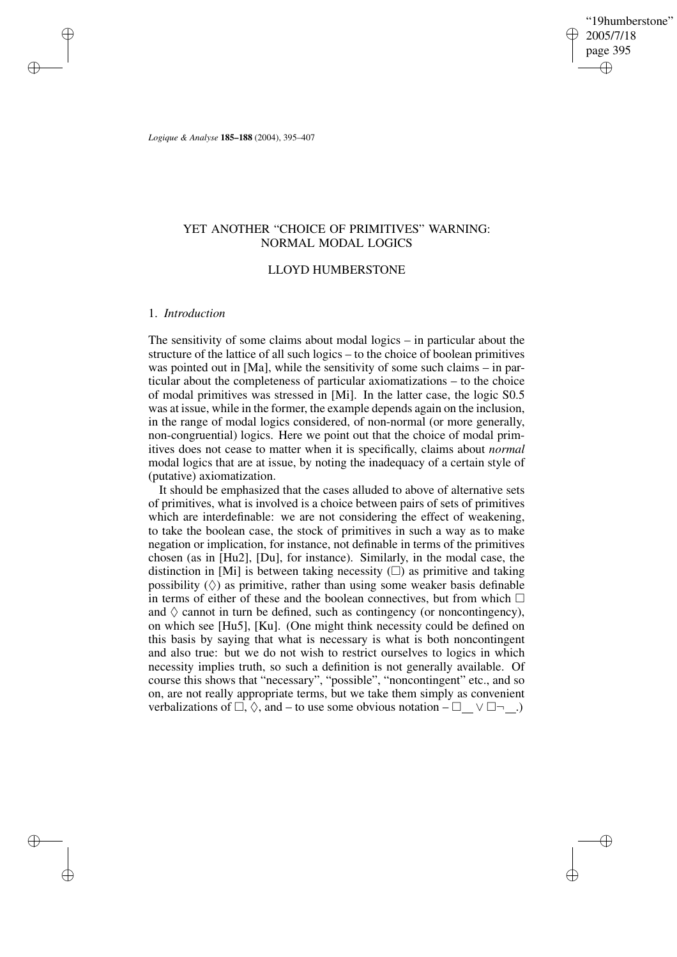"19humberstone" 2005/7/18 page 395 ✐ ✐

✐

✐

*Logique & Analyse* **185–188** (2004), 395–407

# YET ANOTHER "CHOICE OF PRIMITIVES" WARNING: NORMAL MODAL LOGICS

## LLOYD HUMBERSTONE

# 1. *Introduction*

✐

✐

✐

✐

The sensitivity of some claims about modal logics – in particular about the structure of the lattice of all such logics – to the choice of boolean primitives was pointed out in [Ma], while the sensitivity of some such claims – in particular about the completeness of particular axiomatizations – to the choice of modal primitives was stressed in [Mi]. In the latter case, the logic S0.5 was at issue, while in the former, the example depends again on the inclusion, in the range of modal logics considered, of non-normal (or more generally, non-congruential) logics. Here we point out that the choice of modal primitives does not cease to matter when it is specifically, claims about *normal* modal logics that are at issue, by noting the inadequacy of a certain style of (putative) axiomatization.

It should be emphasized that the cases alluded to above of alternative sets of primitives, what is involved is a choice between pairs of sets of primitives which are interdefinable: we are not considering the effect of weakening, to take the boolean case, the stock of primitives in such a way as to make negation or implication, for instance, not definable in terms of the primitives chosen (as in [Hu2], [Du], for instance). Similarly, in the modal case, the distinction in [Mi] is between taking necessity  $(\square)$  as primitive and taking possibility  $(\Diamond)$  as primitive, rather than using some weaker basis definable in terms of either of these and the boolean connectives, but from which  $\Box$ and  $\Diamond$  cannot in turn be defined, such as contingency (or noncontingency), on which see [Hu5], [Ku]. (One might think necessity could be defined on this basis by saying that what is necessary is what is both noncontingent and also true: but we do not wish to restrict ourselves to logics in which necessity implies truth, so such a definition is not generally available. Of course this shows that "necessary", "possible", "noncontingent" etc., and so on, are not really appropriate terms, but we take them simply as convenient verbalizations of  $\Box$ ,  $\Diamond$ , and – to use some obvious notation –  $\Box \quad \lor \Box \neg \quad .$ )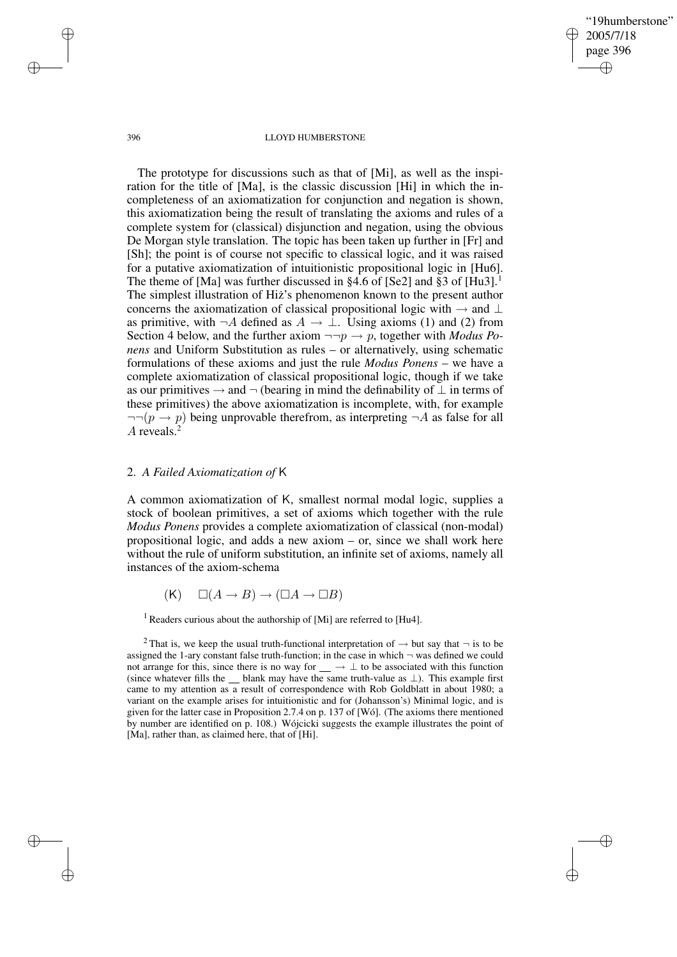"19humberstone" 2005/7/18 page 396 ✐ ✐

✐

✐

#### 396 LLOYD HUMBERSTONE

The prototype for discussions such as that of [Mi], as well as the inspiration for the title of [Ma], is the classic discussion [Hi] in which the incompleteness of an axiomatization for conjunction and negation is shown, this axiomatization being the result of translating the axioms and rules of a complete system for (classical) disjunction and negation, using the obvious De Morgan style translation. The topic has been taken up further in [Fr] and [Sh]; the point is of course not specific to classical logic, and it was raised for a putative axiomatization of intuitionistic propositional logic in [Hu6]. The theme of [Ma] was further discussed in  $§4.6$  of [Se2] and  $§3$  of [Hu3].<sup>1</sup> The simplest illustration of Hiz's phenomenon known to the present author concerns the axiomatization of classical propositional logic with  $\rightarrow$  and ⊥ as primitive, with  $\neg A$  defined as  $A \to \bot$ . Using axioms (1) and (2) from Section 4 below, and the further axiom  $\neg\neg p \rightarrow p$ , together with *Modus Ponens* and Uniform Substitution as rules – or alternatively, using schematic formulations of these axioms and just the rule *Modus Ponens* – we have a complete axiomatization of classical propositional logic, though if we take as our primitives  $\rightarrow$  and  $\neg$  (bearing in mind the definability of  $\bot$  in terms of these primitives) the above axiomatization is incomplete, with, for example  $\neg\neg(p \rightarrow p)$  being unprovable therefrom, as interpreting  $\neg A$  as false for all A reveals. $<sup>2</sup>$ </sup>

## 2. *A Failed Axiomatization of* K

A common axiomatization of K, smallest normal modal logic, supplies a stock of boolean primitives, a set of axioms which together with the rule *Modus Ponens* provides a complete axiomatization of classical (non-modal) propositional logic, and adds a new axiom – or, since we shall work here without the rule of uniform substitution, an infinite set of axioms, namely all instances of the axiom-schema

 $(K) \Box(A \rightarrow B) \rightarrow (\Box A \rightarrow \Box B)$ 

<sup>1</sup> Readers curious about the authorship of [Mi] are referred to [Hu4].

✐

✐

✐

<sup>&</sup>lt;sup>2</sup> That is, we keep the usual truth-functional interpretation of  $\rightarrow$  but say that  $\neg$  is to be assigned the 1-ary constant false truth-function; in the case in which  $\neg$  was defined we could not arrange for this, since there is no way for  $\_\rightarrow \bot$  to be associated with this function (since whatever fills the  $\Box$  blank may have the same truth-value as  $\bot$ ). This example first came to my attention as a result of correspondence with Rob Goldblatt in about 1980; a variant on the example arises for intuitionistic and for (Johansson's) Minimal logic, and is given for the latter case in Proposition 2.7.4 on p. 137 of [Wó]. (The axioms there mentioned by number are identified on p. 108.) Wójcicki suggests the example illustrates the point of [Ma], rather than, as claimed here, that of [Hi].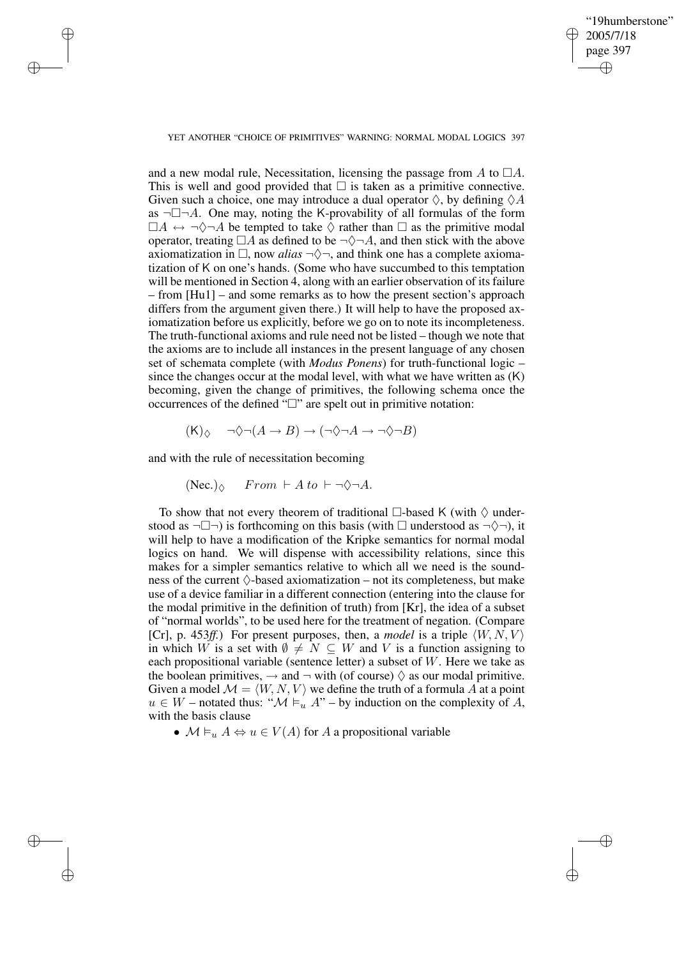✐

#### YET ANOTHER "CHOICE OF PRIMITIVES" WARNING: NORMAL MODAL LOGICS 397

and a new modal rule, Necessitation, licensing the passage from A to  $\Box A$ . This is well and good provided that  $\Box$  is taken as a primitive connective. Given such a choice, one may introduce a dual operator  $\Diamond$ , by defining  $\Diamond A$ as  $\neg \Box \neg A$ . One may, noting the K-provability of all formulas of the form  $\Box A \leftrightarrow \neg \Diamond \neg A$  be tempted to take  $\Diamond$  rather than  $\Box$  as the primitive modal operator, treating  $\Box A$  as defined to be  $\neg \Diamond \neg A$ , and then stick with the above axiomatization in  $\Box$ , now *alias*  $\neg \Diamond \neg$ , and think one has a complete axiomatization of K on one's hands. (Some who have succumbed to this temptation will be mentioned in Section 4, along with an earlier observation of its failure – from [Hu1] – and some remarks as to how the present section's approach differs from the argument given there.) It will help to have the proposed axiomatization before us explicitly, before we go on to note its incompleteness. The truth-functional axioms and rule need not be listed – though we note that the axioms are to include all instances in the present language of any chosen set of schemata complete (with *Modus Ponens*) for truth-functional logic – since the changes occur at the modal level, with what we have written as (K) becoming, given the change of primitives, the following schema once the occurrences of the defined " $\square$ " are spelt out in primitive notation:

$$
(\mathsf{K})_{\Diamond} \quad \neg \Diamond \neg (A \to B) \to (\neg \Diamond \neg A \to \neg \Diamond \neg B)
$$

and with the rule of necessitation becoming

✐

✐

✐

✐

$$
(\text{Nec.})_{\Diamond}
$$
 From  $\vdash A \text{ to } \vdash \neg \Diamond \neg A$ .

To show that not every theorem of traditional  $\Box$ -based K (with  $\Diamond$  understood as  $\neg \Box \neg$ ) is forthcoming on this basis (with  $\Box$  understood as  $\neg \Diamond \neg$ ), it will help to have a modification of the Kripke semantics for normal modal logics on hand. We will dispense with accessibility relations, since this makes for a simpler semantics relative to which all we need is the soundness of the current  $\Diamond$ -based axiomatization – not its completeness, but make use of a device familiar in a different connection (entering into the clause for the modal primitive in the definition of truth) from [Kr], the idea of a subset of "normal worlds", to be used here for the treatment of negation. (Compare [Cr], p. 453*ff.*) For present purposes, then, a *model* is a triple  $\langle W, N, V \rangle$ in which W is a set with  $\emptyset \neq N \subseteq W$  and V is a function assigning to each propositional variable (sentence letter) a subset of W. Here we take as the boolean primitives,  $\rightarrow$  and  $\neg$  with (of course)  $\Diamond$  as our modal primitive. Given a model  $\mathcal{M} = \langle W, N, V \rangle$  we define the truth of a formula A at a point  $u \in W$  – notated thus: " $\mathcal{M} \models_u A$ " – by induction on the complexity of A, with the basis clause

•  $\mathcal{M} \models_{u} A \Leftrightarrow u \in V(A)$  for A a propositional variable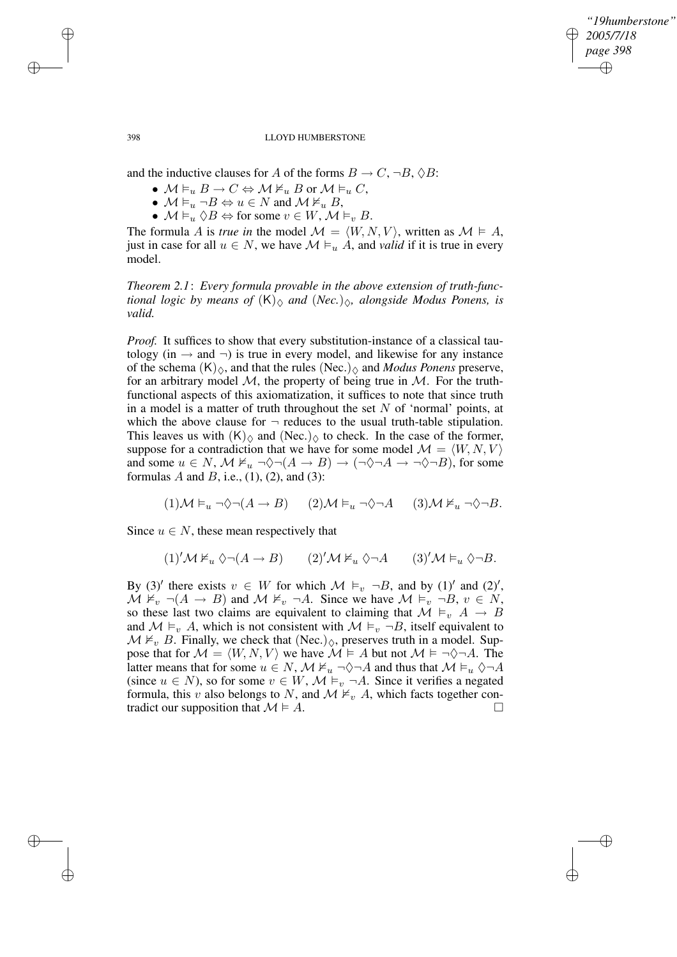✐

398 LLOYD HUMBERSTONE

and the inductive clauses for A of the forms  $B \to C$ ,  $\neg B$ ,  $\Diamond B$ :

- $\mathcal{M} \vDash_u B \to C \Leftrightarrow \mathcal{M} \nvDash_u B$  or  $\mathcal{M} \vDash_u C$ ,
- $M \vDash_u \neg B \Leftrightarrow u \in N$  and  $M \nvDash_u B$ ,
- $\mathcal{M} \vDash_{u} \Diamond B \Leftrightarrow$  for some  $v \in W$ ,  $\mathcal{M} \vDash_{v} B$ .

The formula A is *true* in the model  $\mathcal{M} = \langle W, N, V \rangle$ , written as  $\mathcal{M} \models A$ , just in case for all  $u \in N$ , we have  $\mathcal{M} \models_u A$ , and *valid* if it is true in every model.

*Theorem 2.1*: *Every formula provable in the above extension of truth-functional logic by means of*  $(K)_{\Diamond}$  *and*  $(Nec.)_{\Diamond}$ *, alongside Modus Ponens, is valid.*

*Proof.* It suffices to show that every substitution-instance of a classical tautology (in  $\rightarrow$  and  $\neg$ ) is true in every model, and likewise for any instance of the schema  $(K)_{\Diamond}$ , and that the rules  $(Nec.)_{\Diamond}$  and *Modus Ponens* preserve, for an arbitrary model  $M$ , the property of being true in  $M$ . For the truthfunctional aspects of this axiomatization, it suffices to note that since truth in a model is a matter of truth throughout the set  $N$  of 'normal' points, at which the above clause for  $\neg$  reduces to the usual truth-table stipulation. This leaves us with  $(K)_{\Diamond}$  and  $(Nec.)_{\Diamond}$  to check. In the case of the former, suppose for a contradiction that we have for some model  $\mathcal{M} = \langle W, N, V \rangle$ and some  $u \in N$ ,  $\mathcal{M} \nvDash_u \neg \Diamond \neg (A \rightarrow B) \rightarrow (\neg \Diamond \neg A \rightarrow \neg \Diamond \neg B)$ , for some formulas A and B, i.e.,  $(1)$ ,  $(2)$ , and  $(3)$ :

 $(1)\mathcal{M} \vDash_{u} \neg \Diamond \neg (A \rightarrow B)$   $(2)\mathcal{M} \vDash_{u} \neg \Diamond \neg A$   $(3)\mathcal{M} \nvDash_{u} \neg \Diamond \neg B.$ 

Since  $u \in N$ , these mean respectively that

 $(1)'\mathcal{M} \nvDash_{u} \Diamond \neg(A \to B)$   $(2)'\mathcal{M} \nvDash_{u} \Diamond \neg A$   $(3)'\mathcal{M} \vDash_{u} \Diamond \neg B$ .

By (3)' there exists  $v \in W$  for which  $\mathcal{M} \models_v \neg B$ , and by (1)' and (2)',  $M \nvDash_{v} \neg (A \rightarrow B)$  and  $M \nvDash_{v} \neg A$ . Since we have  $M \vDash_{v} \neg B$ ,  $v \in N$ , so these last two claims are equivalent to claiming that  $M \vDash_{v} A \rightarrow B$ and  $M \vDash_{v} A$ , which is not consistent with  $M \vDash_{v} \neg B$ , itself equivalent to  $\mathcal{M} \nvDash_{v} B$ . Finally, we check that (Nec.)<sub> $\diamond$ </sub>, preserves truth in a model. Suppose that for  $M = \langle W, N, V \rangle$  we have  $M \models A$  but not  $M \models \neg \Diamond \neg A$ . The latter means that for some  $u \in N$ ,  $\mathcal{M} \nvDash u \neg \Diamond \neg A$  and thus that  $\mathcal{M} \vDash u \Diamond \neg A$ (since  $u \in N$ ), so for some  $v \in W$ ,  $\mathcal{M} \models_{v} \neg A$ . Since it verifies a negated formula, this v also belongs to N, and  $\mathcal{M} \nvDash_{v} A$ , which facts together contradict our supposition that  $M \models A$ .

✐

✐

✐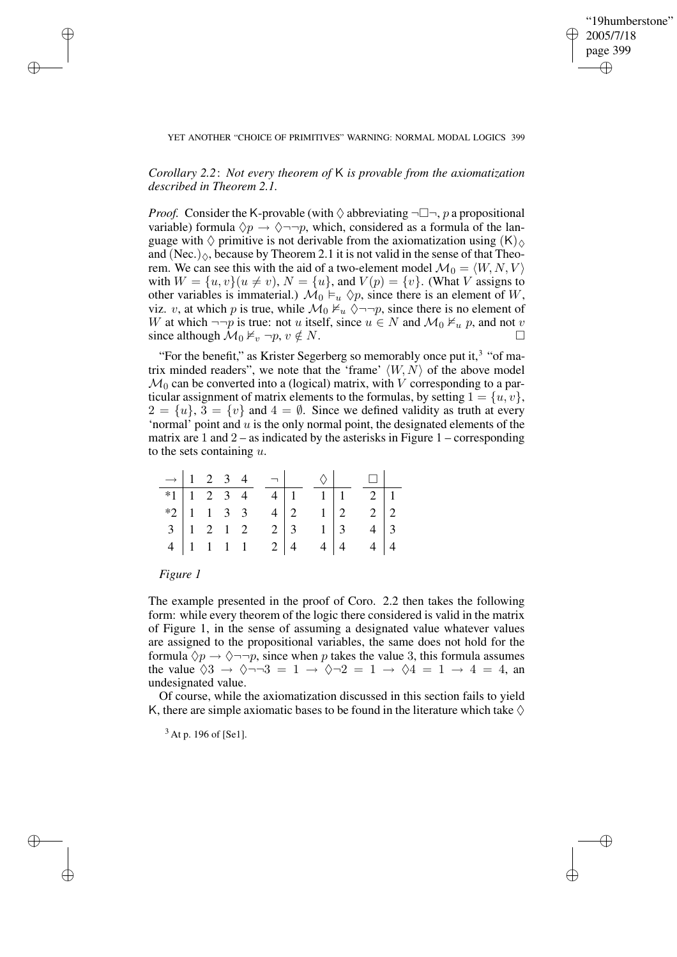✐

### YET ANOTHER "CHOICE OF PRIMITIVES" WARNING: NORMAL MODAL LOGICS 399

# *Corollary 2.2*: *Not every theorem of* K *is provable from the axiomatization described in Theorem 2.1.*

*Proof.* Consider the K-provable (with  $\Diamond$  abbreviating  $\neg \Box \neg$ , p a propositional variable) formula  $\Diamond p \rightarrow \Diamond \neg \neg p$ , which, considered as a formula of the language with  $\Diamond$  primitive is not derivable from the axiomatization using  $(K)_{\Diamond}$ and (Nec.) $\Diamond$ , because by Theorem 2.1 it is not valid in the sense of that Theorem. We can see this with the aid of a two-element model  $\mathcal{M}_0 = \langle W, N, V \rangle$ with  $W = \{u, v\}(u \neq v)$ ,  $N = \{u\}$ , and  $V(p) = \{v\}$ . (What V assigns to other variables is immaterial.)  $\mathcal{M}_0 \vDash_{u} \Diamond p$ , since there is an element of W, viz. v, at which p is true, while  $\mathcal{M}_0 \nvDash_u \Diamond \neg \neg p$ , since there is no element of W at which  $\neg\neg p$  is true: not u itself, since  $u \in N$  and  $\mathcal{M}_0 \not\vDash_u p$ , and not v since although  $\mathcal{M}_0 \nvDash_v \neg p, v \notin N$ .

"For the benefit," as Krister Segerberg so memorably once put it, $3$  "of matrix minded readers", we note that the 'frame'  $\langle W, N \rangle$  of the above model  $\mathcal{M}_0$  can be converted into a (logical) matrix, with V corresponding to a particular assignment of matrix elements to the formulas, by setting  $1 = \{u, v\},\$  $2 = \{u\}, 3 = \{v\}$  and  $4 = \emptyset$ . Since we defined validity as truth at every 'normal' point and  $u$  is the only normal point, the designated elements of the matrix are  $1$  and  $2 -$  as indicated by the asterisks in Figure  $1 -$ corresponding to the sets containing  $u$ .

|                                    |  |  | $\rightarrow$ 1 2 3 4 $\neg$ $\Diamond$                                                                                                |            |                                                                                  | $\Box$                                            |  |
|------------------------------------|--|--|----------------------------------------------------------------------------------------------------------------------------------------|------------|----------------------------------------------------------------------------------|---------------------------------------------------|--|
|                                    |  |  | *1 $\begin{array}{ c c c c c c c c } \hline \text{*1} & 1 & 2 & 3 & 4 & 4 & 1 \\ \hline \text{*2} & 1 & 1 & 3 & 3 & 4 & 2 \end{array}$ |            | $\begin{array}{ c c c }\n\hline\n1 & 1 \\ 1 & 2 \\ 1 & 3 \\ \hline\n\end{array}$ | $\begin{array}{c c}\n2 & 1 \\ 2 & 2\n\end{array}$ |  |
|                                    |  |  |                                                                                                                                        |            |                                                                                  |                                                   |  |
| $3 \mid 1 \quad 2 \quad 1 \quad 2$ |  |  |                                                                                                                                        | $2 \mid 3$ |                                                                                  | $4 \mid 3$                                        |  |
| $4$   1   1   1                    |  |  |                                                                                                                                        |            |                                                                                  | $2 \begin{vmatrix} 4 & 4 \end{vmatrix}$ 4 4 4     |  |

## *Figure 1*

✐

✐

✐

✐

The example presented in the proof of Coro. 2.2 then takes the following form: while every theorem of the logic there considered is valid in the matrix of Figure 1, in the sense of assuming a designated value whatever values are assigned to the propositional variables, the same does not hold for the formula  $\Diamond p \rightarrow \Diamond \neg \neg p$ , since when p takes the value 3, this formula assumes the value  $\sqrt{3} \rightarrow \sqrt{-3} = 1 \rightarrow \sqrt{2} = 1 \rightarrow \sqrt{4} = 1 \rightarrow 4 = 4$ , and undesignated value.

Of course, while the axiomatization discussed in this section fails to yield K, there are simple axiomatic bases to be found in the literature which take  $\Diamond$ 

<sup>3</sup> At p. 196 of [Se1].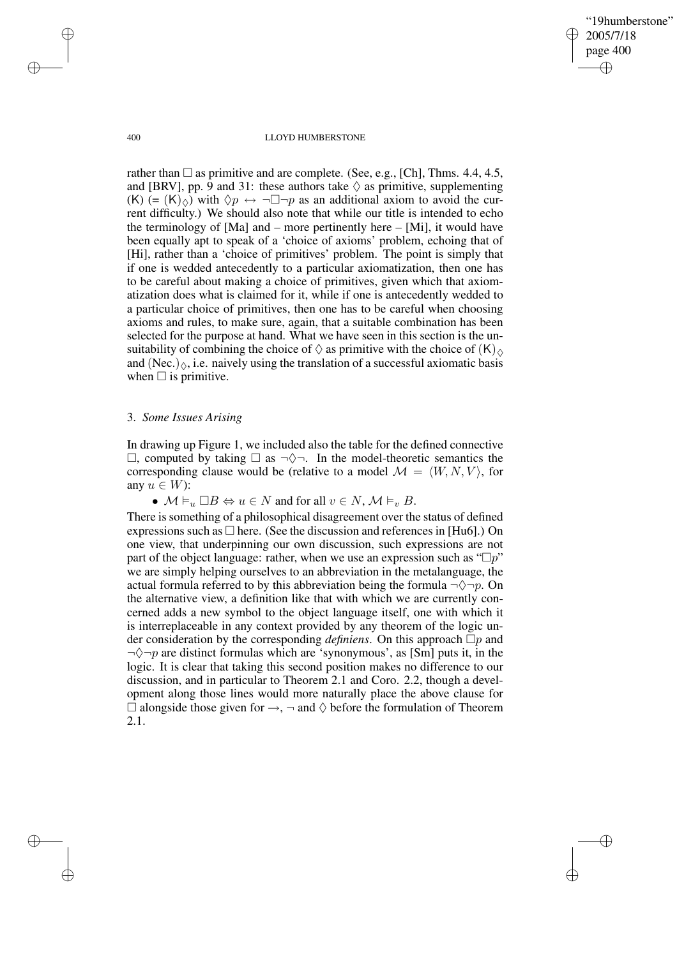"19humberstone" 2005/7/18 page 400 ✐ ✐

✐

✐

#### 400 LLOYD HUMBERSTONE

rather than  $\square$  as primitive and are complete. (See, e.g., [Ch], Thms. 4.4, 4.5, and [BRV], pp. 9 and 31: these authors take  $\Diamond$  as primitive, supplementing  $(K)$  (=  $(K)_{\odot}$ ) with  $\Diamond p \leftrightarrow \neg \Box \neg p$  as an additional axiom to avoid the current difficulty.) We should also note that while our title is intended to echo the terminology of [Ma] and – more pertinently here – [Mi], it would have been equally apt to speak of a 'choice of axioms' problem, echoing that of [Hi], rather than a 'choice of primitives' problem. The point is simply that if one is wedded antecedently to a particular axiomatization, then one has to be careful about making a choice of primitives, given which that axiomatization does what is claimed for it, while if one is antecedently wedded to a particular choice of primitives, then one has to be careful when choosing axioms and rules, to make sure, again, that a suitable combination has been selected for the purpose at hand. What we have seen in this section is the unsuitability of combining the choice of  $\Diamond$  as primitive with the choice of  $(K)_{\Diamond}$ and (Nec.) $\Diamond$ , i.e. naively using the translation of a successful axiomatic basis when  $\Box$  is primitive.

## 3. *Some Issues Arising*

In drawing up Figure 1, we included also the table for the defined connective  $\Box$ , computed by taking  $\Box$  as  $\neg \Diamond \neg$ . In the model-theoretic semantics the corresponding clause would be (relative to a model  $\mathcal{M} = \langle W, N, V \rangle$ , for any  $u \in W$ :

•  $\mathcal{M} \vDash_u \Box B \Leftrightarrow u \in N$  and for all  $v \in N$ ,  $\mathcal{M} \vDash_v B$ .

There is something of a philosophical disagreement over the status of defined expressions such as  $\Box$  here. (See the discussion and references in [Hu6].) On one view, that underpinning our own discussion, such expressions are not part of the object language: rather, when we use an expression such as " $\Box p$ " we are simply helping ourselves to an abbreviation in the metalanguage, the actual formula referred to by this abbreviation being the formula  $\neg \Diamond \neg p$ . On the alternative view, a definition like that with which we are currently concerned adds a new symbol to the object language itself, one with which it is interreplaceable in any context provided by any theorem of the logic under consideration by the corresponding *definiens*. On this approach  $\Box p$  and  $\neg \Diamond \neg p$  are distinct formulas which are 'synonymous', as [Sm] puts it, in the logic. It is clear that taking this second position makes no difference to our discussion, and in particular to Theorem 2.1 and Coro. 2.2, though a development along those lines would more naturally place the above clause for  $\Box$  alongside those given for →,  $\neg$  and  $\diamond$  before the formulation of Theorem 2.1.

✐

✐

✐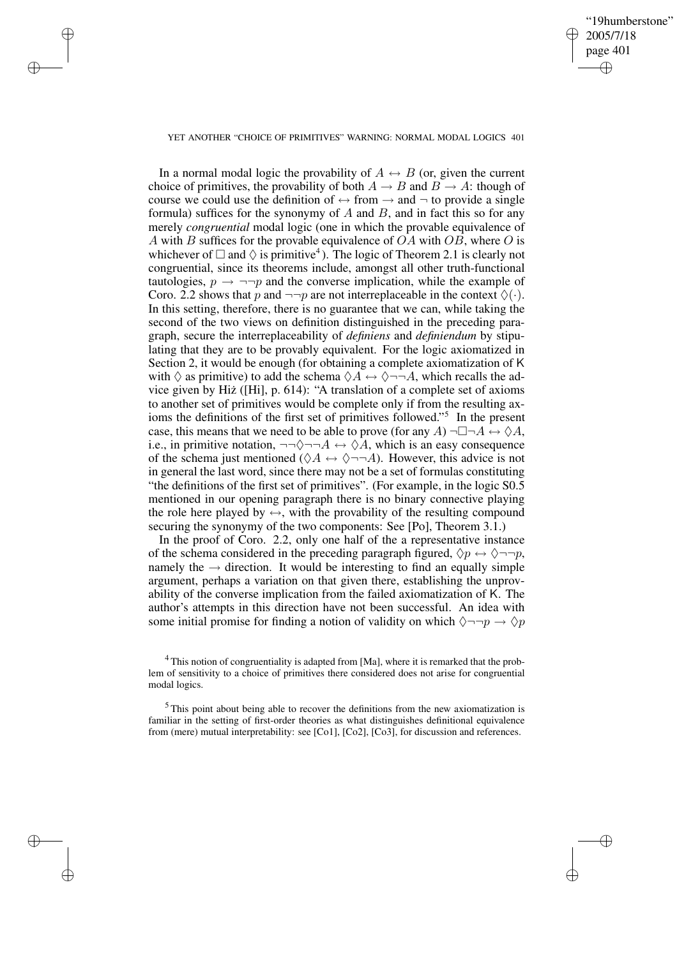✐

#### YET ANOTHER "CHOICE OF PRIMITIVES" WARNING: NORMAL MODAL LOGICS 401

✐

✐

✐

✐

In a normal modal logic the provability of  $A \leftrightarrow B$  (or, given the current choice of primitives, the provability of both  $A \rightarrow B$  and  $B \rightarrow A$ : though of course we could use the definition of  $\leftrightarrow$  from  $\rightarrow$  and  $\neg$  to provide a single formula) suffices for the synonymy of A and B, and in fact this so for any merely *congruential* modal logic (one in which the provable equivalence of A with B suffices for the provable equivalence of  $OA$  with  $OB$ , where O is whichever of  $\Box$  and  $\Diamond$  is primitive<sup>4</sup>). The logic of Theorem 2.1 is clearly not congruential, since its theorems include, amongst all other truth-functional tautologies,  $p \rightarrow \neg\neg p$  and the converse implication, while the example of Coro. 2.2 shows that p and  $\neg\neg p$  are not interreplaceable in the context  $\Diamond(\cdot)$ . In this setting, therefore, there is no guarantee that we can, while taking the second of the two views on definition distinguished in the preceding paragraph, secure the interreplaceability of *definiens* and *definiendum* by stipulating that they are to be provably equivalent. For the logic axiomatized in Section 2, it would be enough (for obtaining a complete axiomatization of K with  $\Diamond$  as primitive) to add the schema  $\Diamond A \leftrightarrow \Diamond \neg \neg A$ , which recalls the advice given by Hiz˙ ([Hi], p. 614): "A translation of a complete set of axioms to another set of primitives would be complete only if from the resulting axioms the definitions of the first set of primitives followed." 5 In the present case, this means that we need to be able to prove (for any A)  $\neg \Box \neg A \leftrightarrow \Diamond A$ , i.e., in primitive notation,  $\neg\neg \Diamond \neg \neg A \leftrightarrow \Diamond \overline{A}$ , which is an easy consequence of the schema just mentioned ( $\Diamond A \leftrightarrow \Diamond \neg \neg A$ ). However, this advice is not in general the last word, since there may not be a set of formulas constituting "the definitions of the first set of primitives". (For example, in the logic S0.5 mentioned in our opening paragraph there is no binary connective playing the role here played by  $\leftrightarrow$ , with the provability of the resulting compound securing the synonymy of the two components: See [Po], Theorem 3.1.)

In the proof of Coro. 2.2, only one half of the a representative instance of the schema considered in the preceding paragraph figured,  $\Diamond p \leftrightarrow \Diamond \neg \neg p$ , namely the  $\rightarrow$  direction. It would be interesting to find an equally simple argument, perhaps a variation on that given there, establishing the unprovability of the converse implication from the failed axiomatization of K. The author's attempts in this direction have not been successful. An idea with some initial promise for finding a notion of validity on which  $\Diamond \neg \neg p \rightarrow \Diamond p$ 

<sup>&</sup>lt;sup>4</sup> This notion of congruentiality is adapted from [Ma], where it is remarked that the problem of sensitivity to a choice of primitives there considered does not arise for congruential modal logics.

<sup>&</sup>lt;sup>5</sup> This point about being able to recover the definitions from the new axiomatization is familiar in the setting of first-order theories as what distinguishes definitional equivalence from (mere) mutual interpretability: see [Co1], [Co2], [Co3], for discussion and references.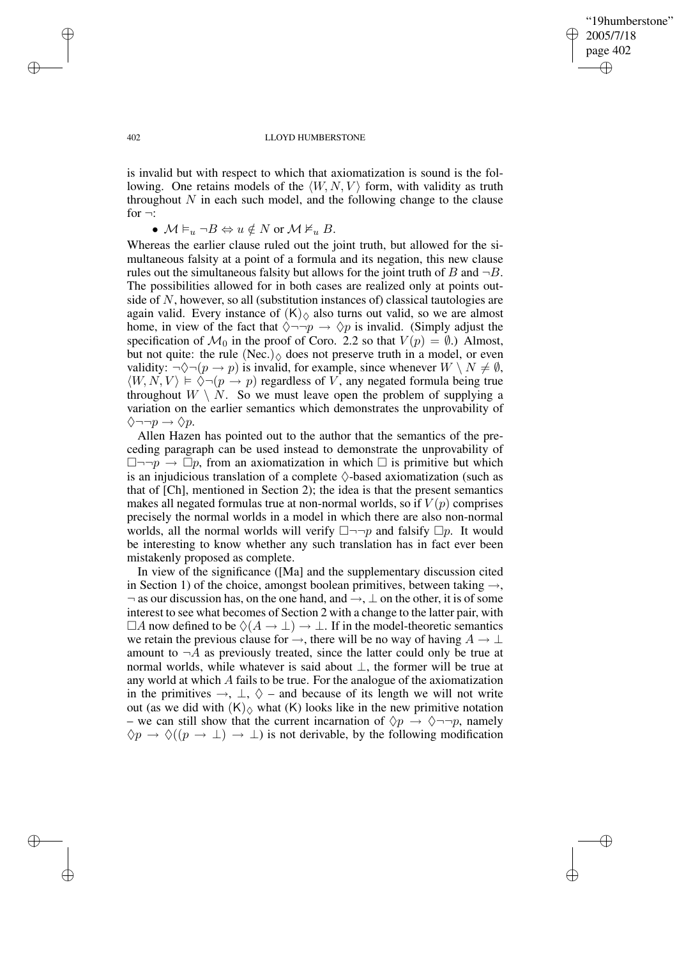✐

#### 402 LLOYD HUMBERSTONE

is invalid but with respect to which that axiomatization is sound is the following. One retains models of the  $\langle W, N, V \rangle$  form, with validity as truth throughout  $N$  in each such model, and the following change to the clause for  $\neg$ :

•  $M \vDash_u \neg B \Leftrightarrow u \notin N$  or  $M \nvDash_u B$ .

Whereas the earlier clause ruled out the joint truth, but allowed for the simultaneous falsity at a point of a formula and its negation, this new clause rules out the simultaneous falsity but allows for the joint truth of B and  $\neg B$ . The possibilities allowed for in both cases are realized only at points outside of N, however, so all (substitution instances of) classical tautologies are again valid. Every instance of  $(K)_{\Diamond}$  also turns out valid, so we are almost home, in view of the fact that  $\Diamond \neg \neg p \rightarrow \Diamond p$  is invalid. (Simply adjust the specification of  $\mathcal{M}_0$  in the proof of Coro. 2.2 so that  $V(p) = \emptyset$ .) Almost, but not quite: the rule (Nec.) $\Diamond$  does not preserve truth in a model, or even validity:  $\neg \Diamond \neg (p \rightarrow p)$  is invalid, for example, since whenever  $W \setminus N \neq \emptyset$ ,  $\langle W, N, V \rangle \models \overline{\Diamond} \neg (p \rightarrow p)$  regardless of V, any negated formula being true throughout  $W \setminus N$ . So we must leave open the problem of supplying a variation on the earlier semantics which demonstrates the unprovability of  $\Diamond \neg \neg p \rightarrow \Diamond p.$ 

Allen Hazen has pointed out to the author that the semantics of the preceding paragraph can be used instead to demonstrate the unprovability of  $\Box \neg \neg p \rightarrow \Box p$ , from an axiomatization in which  $\Box$  is primitive but which is an injudicious translation of a complete  $\Diamond$ -based axiomatization (such as that of [Ch], mentioned in Section 2); the idea is that the present semantics makes all negated formulas true at non-normal worlds, so if  $V(p)$  comprises precisely the normal worlds in a model in which there are also non-normal worlds, all the normal worlds will verify  $\Box \neg \neg p$  and falsify  $\Box p$ . It would be interesting to know whether any such translation has in fact ever been mistakenly proposed as complete.

In view of the significance ([Ma] and the supplementary discussion cited in Section 1) of the choice, amongst boolean primitives, between taking  $\rightarrow$ ,  $\neg$  as our discussion has, on the one hand, and  $\rightarrow$ ,  $\perp$  on the other, it is of some interest to see what becomes of Section 2 with a change to the latter pair, with  $\Box A$  now defined to be  $\Diamond(A \to \bot) \to \bot$ . If in the model-theoretic semantics we retain the previous clause for  $\rightarrow$ , there will be no way of having  $A \rightarrow \bot$ amount to  $\neg A$  as previously treated, since the latter could only be true at normal worlds, while whatever is said about ⊥, the former will be true at any world at which A fails to be true. For the analogue of the axiomatization in the primitives  $\rightarrow$ ,  $\perp$ ,  $\Diamond$  – and because of its length we will not write out (as we did with  $(K)_{\Diamond}$  what  $(K)$  looks like in the new primitive notation – we can still show that the current incarnation of  $\Diamond p \rightarrow \Diamond \neg \neg p$ , namely  $\Diamond p \rightarrow \Diamond ((p \rightarrow \bot) \rightarrow \bot)$  is not derivable, by the following modification

✐

✐

✐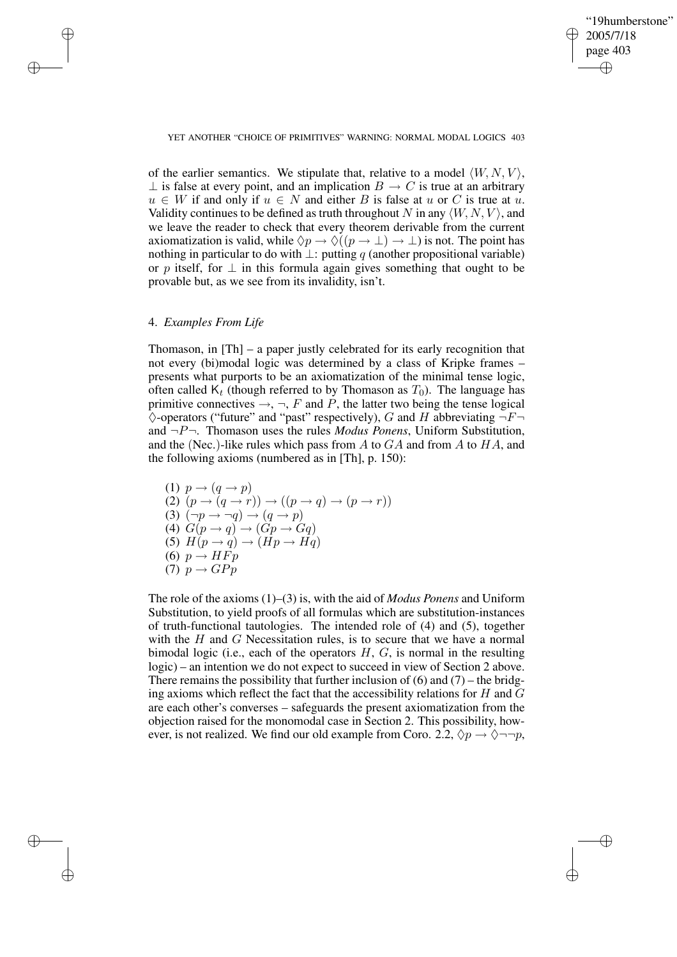✐

#### YET ANOTHER "CHOICE OF PRIMITIVES" WARNING: NORMAL MODAL LOGICS 403

of the earlier semantics. We stipulate that, relative to a model  $\langle W, N, V \rangle$ ,  $\perp$  is false at every point, and an implication  $B \to C$  is true at an arbitrary  $u \in W$  if and only if  $u \in N$  and either B is false at u or C is true at u. Validity continues to be defined as truth throughout N in any  $\langle W, N, V \rangle$ , and we leave the reader to check that every theorem derivable from the current axiomatization is valid, while  $\Diamond p \to \Diamond ((p \to \bot) \to \bot)$  is not. The point has nothing in particular to do with  $\perp$ : putting q (another propositional variable) or p itself, for  $\perp$  in this formula again gives something that ought to be provable but, as we see from its invalidity, isn't.

## 4. *Examples From Life*

✐

✐

✐

✐

Thomason, in [Th] – a paper justly celebrated for its early recognition that not every (bi)modal logic was determined by a class of Kripke frames – presents what purports to be an axiomatization of the minimal tense logic, often called  $K_t$  (though referred to by Thomason as  $T_0$ ). The language has primitive connectives  $\rightarrow$ ,  $\neg$ ,  $F$  and  $\dot{P}$ , the latter two being the tense logical  $\Diamond$ -operators ("future" and "past" respectively), G and H abbreviating  $\neg F\neg$ and  $\neg P\neg$ . Thomason uses the rules *Modus Ponens*, Uniform Substitution, and the (Nec.)-like rules which pass from  $A$  to  $GA$  and from  $A$  to  $HA$ , and the following axioms (numbered as in [Th], p. 150):

(1) 
$$
p \rightarrow (q \rightarrow p)
$$
  
\n(2)  $(p \rightarrow (q \rightarrow r)) \rightarrow ((p \rightarrow q) \rightarrow (p \rightarrow r))$   
\n(3)  $(\neg p \rightarrow \neg q) \rightarrow (q \rightarrow p)$   
\n(4)  $G(p \rightarrow q) \rightarrow (Gp \rightarrow Gq)$   
\n(5)  $H(p \rightarrow q) \rightarrow (Hp \rightarrow Hq)$   
\n(6)  $p \rightarrow HFp$   
\n(7)  $p \rightarrow GPp$ 

The role of the axioms (1)–(3) is, with the aid of *Modus Ponens* and Uniform Substitution, to yield proofs of all formulas which are substitution-instances of truth-functional tautologies. The intended role of (4) and (5), together with the  $H$  and  $G$  Necessitation rules, is to secure that we have a normal bimodal logic (i.e., each of the operators  $H, G$ , is normal in the resulting logic) – an intention we do not expect to succeed in view of Section 2 above. There remains the possibility that further inclusion of  $(6)$  and  $(7)$  – the bridging axioms which reflect the fact that the accessibility relations for  $H$  and  $G$ are each other's converses – safeguards the present axiomatization from the objection raised for the monomodal case in Section 2. This possibility, however, is not realized. We find our old example from Coro. 2.2,  $\Diamond p \rightarrow \Diamond \neg \neg p$ ,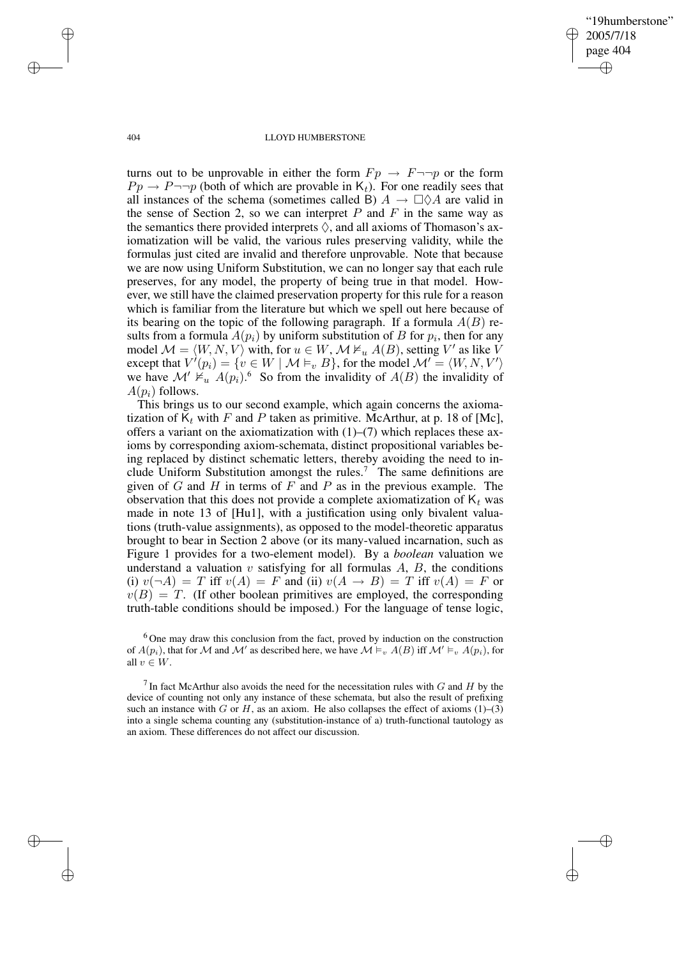✐

#### 404 LLOYD HUMBERSTONE

turns out to be unprovable in either the form  $Fp \rightarrow F \rightarrow p$  or the form  $Pp \rightarrow P \rightarrow p$  (both of which are provable in K<sub>t</sub>). For one readily sees that all instances of the schema (sometimes called B)  $A \to \Box \Diamond A$  are valid in the sense of Section 2, so we can interpret  $P$  and  $F$  in the same way as the semantics there provided interprets  $\Diamond$ , and all axioms of Thomason's axiomatization will be valid, the various rules preserving validity, while the formulas just cited are invalid and therefore unprovable. Note that because we are now using Uniform Substitution, we can no longer say that each rule preserves, for any model, the property of being true in that model. However, we still have the claimed preservation property for this rule for a reason which is familiar from the literature but which we spell out here because of its bearing on the topic of the following paragraph. If a formula  $A(B)$  results from a formula  $A(p_i)$  by uniform substitution of B for  $p_i$ , then for any model  $\mathcal{M} = \langle W, N, V \rangle$  with, for  $u \in W$ ,  $\mathcal{M} \nvDash u A(B)$ , setting  $V'$  as like V except that  $V'(p_i) = \{v \in W \mid \mathcal{M} \models_v B\}$ , for the model  $\mathcal{M}' = \langle W, N, V' \rangle$ we have  $\mathcal{M}' \nvDash u' A(p_i)$ .<sup>6</sup> So from the invalidity of  $A(B)$  the invalidity of  $A(p_i)$  follows.

This brings us to our second example, which again concerns the axiomatization of  $K_t$  with F and P taken as primitive. McArthur, at p. 18 of [Mc], offers a variant on the axiomatization with  $(1)$ – $(7)$  which replaces these axioms by corresponding axiom-schemata, distinct propositional variables being replaced by distinct schematic letters, thereby avoiding the need to include Uniform Substitution amongst the rules.<sup>7</sup> The same definitions are given of  $G$  and  $H$  in terms of  $F$  and  $P$  as in the previous example. The observation that this does not provide a complete axiomatization of  $K_t$  was made in note 13 of [Hu1], with a justification using only bivalent valuations (truth-value assignments), as opposed to the model-theoretic apparatus brought to bear in Section 2 above (or its many-valued incarnation, such as Figure 1 provides for a two-element model). By a *boolean* valuation we understand a valuation  $v$  satisfying for all formulas  $A$ ,  $B$ , the conditions (i)  $v(\neg A) = T$  iff  $v(A) = F$  and (ii)  $v(A \rightarrow B) = T$  iff  $v(A) = F$  or  $v(B) = T$ . (If other boolean primitives are employed, the corresponding truth-table conditions should be imposed.) For the language of tense logic,

<sup>6</sup> One may draw this conclusion from the fact, proved by induction on the construction of  $A(p_i)$ , that for M and M' as described here, we have  $\mathcal{M} \models_v A(B)$  iff  $\mathcal{M}' \models_v A(p_i)$ , for all  $v \in W$ .

<sup>7</sup> In fact McArthur also avoids the need for the necessitation rules with  $G$  and  $H$  by the device of counting not only any instance of these schemata, but also the result of prefixing such an instance with G or H, as an axiom. He also collapses the effect of axioms  $(1)$ – $(3)$ into a single schema counting any (substitution-instance of a) truth-functional tautology as an axiom. These differences do not affect our discussion.

✐

✐

✐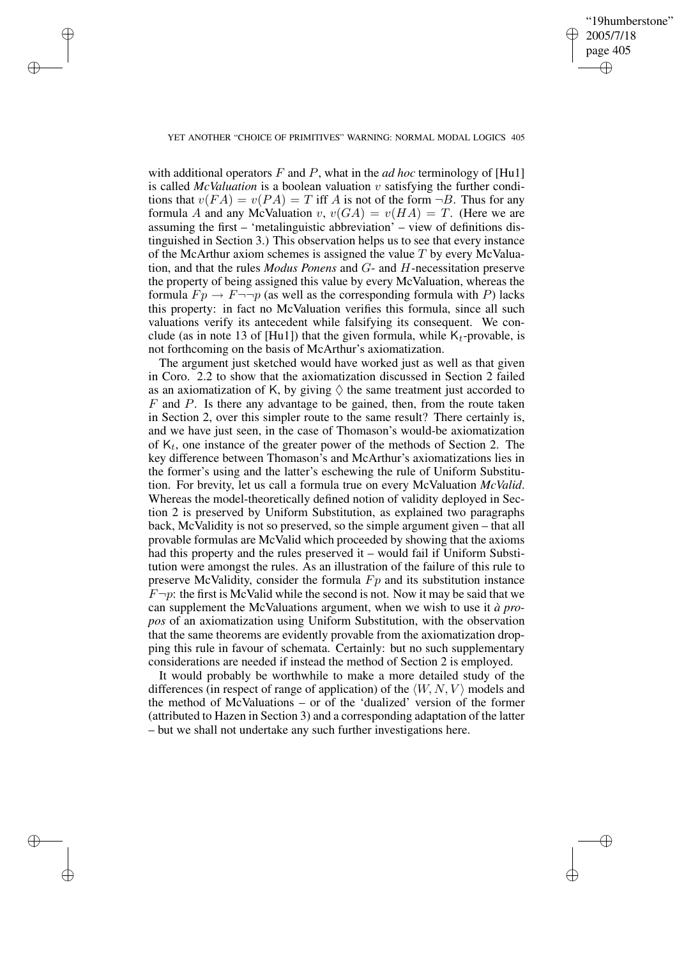✐

### YET ANOTHER "CHOICE OF PRIMITIVES" WARNING: NORMAL MODAL LOGICS 405

✐

✐

✐

✐

with additional operators  $F$  and  $P$ , what in the *ad hoc* terminology of [Hu1] is called *McValuation* is a boolean valuation v satisfying the further conditions that  $v(FA) = v(PA) = T$  iff A is not of the form  $\neg B$ . Thus for any formula A and any McValuation v,  $v(GA) = v(HA) = T$ . (Here we are assuming the first – 'metalinguistic abbreviation' – view of definitions distinguished in Section 3.) This observation helps us to see that every instance of the McArthur axiom schemes is assigned the value  $T$  by every McValuation, and that the rules *Modus Ponens* and G- and H-necessitation preserve the property of being assigned this value by every McValuation, whereas the formula  $Fp \to F \to p$  (as well as the corresponding formula with P) lacks this property: in fact no McValuation verifies this formula, since all such valuations verify its antecedent while falsifying its consequent. We conclude (as in note 13 of [Hu1]) that the given formula, while  $K_t$ -provable, is not forthcoming on the basis of McArthur's axiomatization.

The argument just sketched would have worked just as well as that given in Coro. 2.2 to show that the axiomatization discussed in Section 2 failed as an axiomatization of K, by giving  $\Diamond$  the same treatment just accorded to  $F$  and  $P$ . Is there any advantage to be gained, then, from the route taken in Section 2, over this simpler route to the same result? There certainly is, and we have just seen, in the case of Thomason's would-be axiomatization of  $K_t$ , one instance of the greater power of the methods of Section 2. The key difference between Thomason's and McArthur's axiomatizations lies in the former's using and the latter's eschewing the rule of Uniform Substitution. For brevity, let us call a formula true on every McValuation *McValid*. Whereas the model-theoretically defined notion of validity deployed in Section 2 is preserved by Uniform Substitution, as explained two paragraphs back, McValidity is not so preserved, so the simple argument given – that all provable formulas are McValid which proceeded by showing that the axioms had this property and the rules preserved it – would fail if Uniform Substitution were amongst the rules. As an illustration of the failure of this rule to preserve McValidity, consider the formula  $F_p$  and its substitution instance  $F\neg p$ : the first is McValid while the second is not. Now it may be said that we can supplement the McValuations argument, when we wish to use it *à propos* of an axiomatization using Uniform Substitution, with the observation that the same theorems are evidently provable from the axiomatization dropping this rule in favour of schemata. Certainly: but no such supplementary considerations are needed if instead the method of Section 2 is employed.

It would probably be worthwhile to make a more detailed study of the differences (in respect of range of application) of the  $\langle W, N, V \rangle$  models and the method of McValuations – or of the 'dualized' version of the former (attributed to Hazen in Section 3) and a corresponding adaptation of the latter – but we shall not undertake any such further investigations here.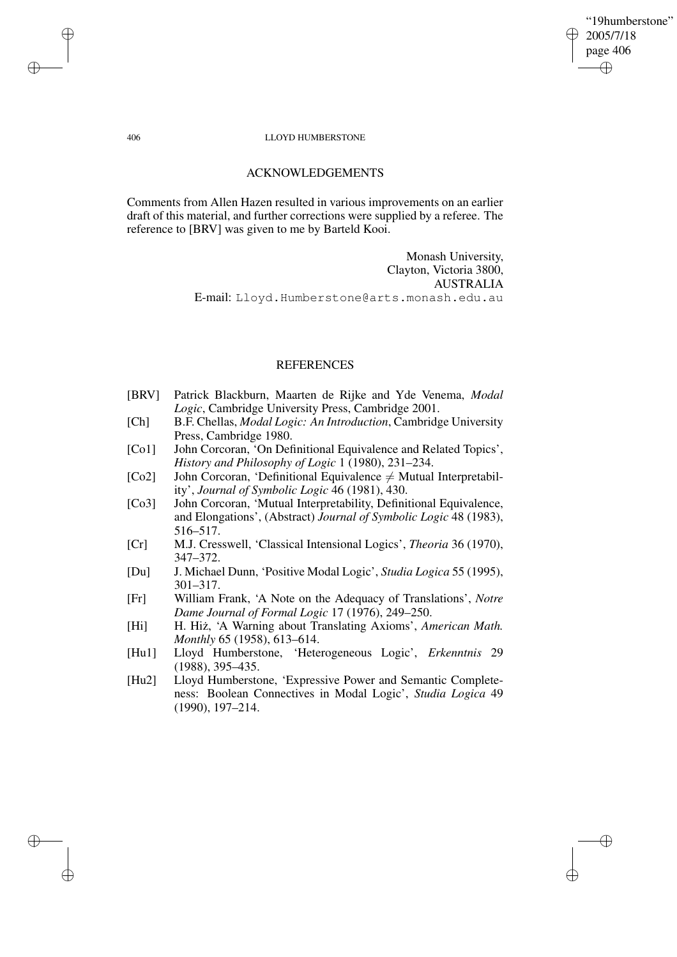"19humberstone" 2005/7/18 page 406 ✐ ✐

✐

✐

### 406 LLOYD HUMBERSTONE

# ACKNOWLEDGEMENTS

Comments from Allen Hazen resulted in various improvements on an earlier draft of this material, and further corrections were supplied by a referee. The reference to [BRV] was given to me by Barteld Kooi.

> Monash University, Clayton, Victoria 3800, AUSTRALIA E-mail: Lloyd.Humberstone@arts.monash.edu.au

# **REFERENCES**

- [BRV] Patrick Blackburn, Maarten de Rijke and Yde Venema, *Modal Logic*, Cambridge University Press, Cambridge 2001.
- [Ch] B.F. Chellas, *Modal Logic: An Introduction*, Cambridge University Press, Cambridge 1980.
- [Co1] John Corcoran, 'On Definitional Equivalence and Related Topics', *History and Philosophy of Logic* 1 (1980), 231–234.
- [Co2] John Corcoran, 'Definitional Equivalence  $\neq$  Mutual Interpretability', *Journal of Symbolic Logic* 46 (1981), 430.
- [Co3] John Corcoran, 'Mutual Interpretability, Definitional Equivalence, and Elongations', (Abstract) *Journal of Symbolic Logic* 48 (1983), 516–517.
- [Cr] M.J. Cresswell, 'Classical Intensional Logics', *Theoria* 36 (1970), 347–372.
- [Du] J. Michael Dunn, 'Positive Modal Logic', *Studia Logica* 55 (1995), 301–317.
- [Fr] William Frank, 'A Note on the Adequacy of Translations', *Notre Dame Journal of Formal Logic* 17 (1976), 249–250.
- [Hi] H. Hiz,˙ 'A Warning about Translating Axioms', *American Math. Monthly* 65 (1958), 613–614.
- [Hu1] Lloyd Humberstone, 'Heterogeneous Logic', *Erkenntnis* 29 (1988), 395–435.
- [Hu2] Lloyd Humberstone, 'Expressive Power and Semantic Completeness: Boolean Connectives in Modal Logic', *Studia Logica* 49 (1990), 197–214.

✐

✐

✐